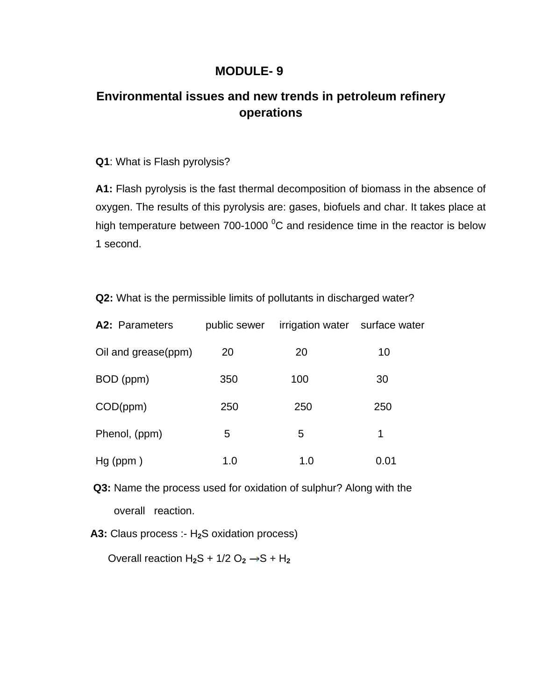## **MODULE- 9**

## **Environmental issues and new trends in petroleum refinery operations**

## **Q1**: What is Flash pyrolysis?

**A1:** Flash pyrolysis is the fast thermal decomposition of biomass in the absence of oxygen. The results of this pyrolysis are: gases, biofuels and char. It takes place at high temperature between 700-1000  $\mathrm{^0C}$  and residence time in the reactor is below 1 second.

**Q2:** What is the permissible limits of pollutants in discharged water?

| A2: Parameters      | public sewer | irrigation water surface water |      |
|---------------------|--------------|--------------------------------|------|
| Oil and grease(ppm) | 20           | 20                             | 10   |
| BOD (ppm)           | 350          | 100                            | 30   |
| COD(ppm)            | 250          | 250                            | 250  |
| Phenol, (ppm)       | 5            | 5                              | 1    |
| $Hg$ (ppm)          | 1.0          | 1.0                            | 0.01 |

 **Q3:** Name the process used for oxidation of sulphur? Along with the overall reaction.

 **A3:** Claus process :- H**2**S oxidation process)

Overall reaction  $H_2S + 1/2 O_2 \rightarrow S + H_2$